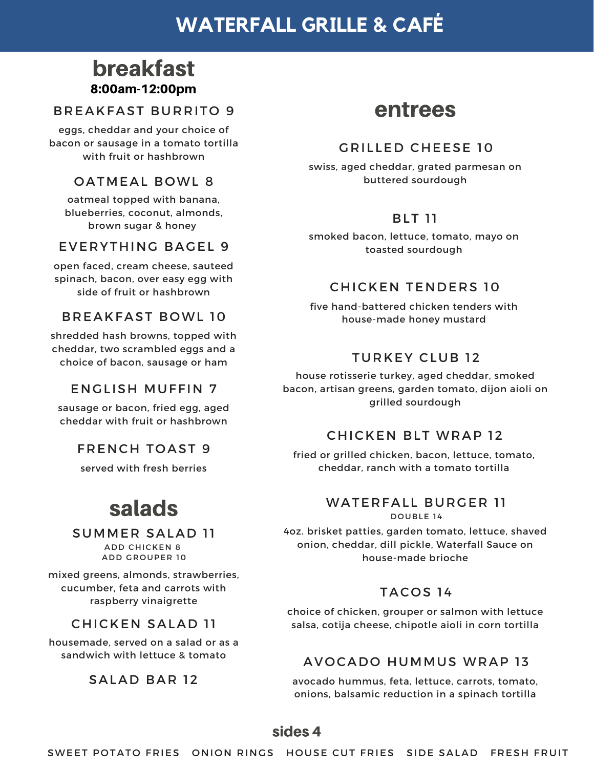# **WATERFALL GRILLE & CAFÉ**

# breakfast 8:00am-12:00pm

#### **BREAKFAST BURRITO 9**

eggs, cheddar and your choice of bacon or sausage in a tomato tortilla with fruit or hashbrown

## OATMEAL BOWL 8

oatmeal topped with banana, blueberries, coconut, almonds, brown sugar & honey

## EVERYTHING BAGEL 9

open faced, cream cheese, sauteed spinach, bacon, over easy egg with side of fruit or hashbrown

#### **BREAKFAST BOWL 10**

shredded hash browns, topped with cheddar, two scrambled eggs and a choice of bacon, sausage or ham

### **ENGLISH MUFFIN 7**

sausage or bacon, fried egg, aged cheddar with fruit or hashbrown

### **FRENCH TOAST 9**

served with fresh berries

# salads

#### **SUMMER SALAD 11**

**ADD CHICKEN 8** A DD GROUPER 10

mixed greens, almonds, strawberries, cucumber, feta and carrots with raspberry vinaigrette

## **CHICKEN SALAD 11**

housemade, served on a salad or as a sandwich with lettuce & tomato

### SALAD BAR 12

# entrees

## GRILLED CHEESE 10

swiss, aged cheddar, grated parmesan on buttered sourdough

# **BLT 11**

smoked bacon, lettuce, tomato, mayo on toasted sourdough

## CHICKEN TENDERS 10

five hand-battered chicken tenders with house-made honey mustard

# **TURKEY CLUB 12**

house rotisserie turkey, aged cheddar, smoked bacon, artisan greens, garden tomato, dijon aioli on grilled sourdough

### **CHICKEN BLT WRAP 12**

fried or grilled chicken, bacon, lettuce, tomato, cheddar, ranch with a tomato tortilla

#### WATERFALL BURGER 11 DOUBLE 14

4oz. brisket patties, garden tomato, lettuce, shaved onion, cheddar, dill pickle, Waterfall Sauce on house-made brioche

## TACOS 14

choice of chicken, grouper or salmon with lettuce salsa, cotija cheese, chipotle aioli in corn tortilla

## AVOCADO HUMMUS WRAP 13

avocado hummus, feta, lettuce, carrots, tomato, onions, balsamic reduction in a spinach tortilla

# sides 4

SWEET POTATO FRIES ONION RINGS HOUSE CUT FRIES SIDE SALAD FRESH FRUIT